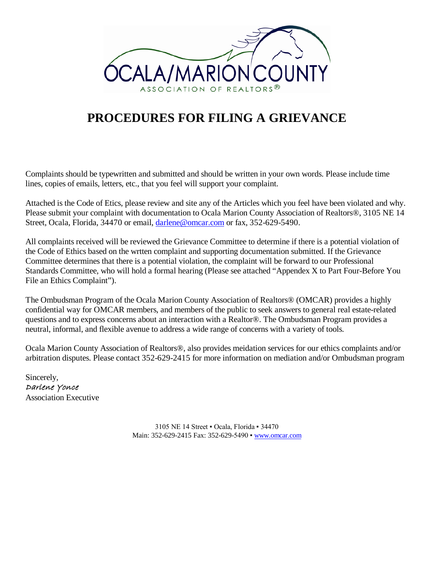

# **PROCEDURES FOR FILING A GRIEVANCE**

Complaints should be typewritten and submitted and should be written in your own words. Please include time lines, copies of emails, letters, etc., that you feel will support your complaint.

Attached is the Code of Etics, please review and site any of the Articles which you feel have been violated and why. Please submit your complaint with documentation to Ocala Marion County Association of Realtors®, 3105 NE 14 Street, Ocala, Florida, 34470 or email, [darlene@omcar.com](mailto:darlene@omcar.com) or fax, 352-629-5490.

All complaints received will be reviewed the Grievance Committee to determine if there is a potential violation of the Code of Ethics based on the wrtten complaint and supporting documentation submitted. If the Grievance Committee determines that there is a potential violation, the complaint will be forward to our Professional Standards Committee, who will hold a formal hearing (Please see attached "Appendex X to Part Four-Before You File an Ethics Complaint").

The Ombudsman Program of the Ocala Marion County Association of Realtors® (OMCAR) provides a highly confidential way for OMCAR members, and members of the public to seek answers to general real estate-related questions and to express concerns about an interaction with a Realtor®. The Ombudsman Program provides a neutral, informal, and flexible avenue to address a wide range of concerns with a variety of tools.

Ocala Marion County Association of Realtors®, also provides meidation services for our ethics complaints and/or arbitration disputes. Please contact 352-629-2415 for more information on mediation and/or Ombudsman program

Sincerely, Darlene Yonce Association Executive

> 3105 NE 14 Street ▪ Ocala, Florida ▪ 34470 Main: 352-629-2415 Fax: 352-629-5490 • [www.omcar.com](http://www.omcar.com/)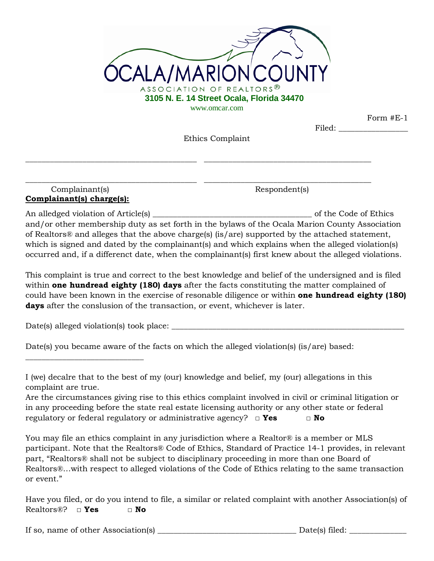

Form #E-1

Ethics Complaint

\_\_\_\_\_\_\_\_\_\_\_\_\_\_\_\_\_\_\_\_\_\_\_\_\_\_\_\_\_\_\_\_\_\_\_\_\_\_\_\_\_\_ \_\_\_\_\_\_\_\_\_\_\_\_\_\_\_\_\_\_\_\_\_\_\_\_\_\_\_\_\_\_\_\_\_\_\_\_\_\_\_\_\_

\_\_\_\_\_\_\_\_\_\_\_\_\_\_\_\_\_\_\_\_\_\_\_\_\_\_\_\_\_\_\_\_\_\_\_\_\_\_\_\_\_\_ \_\_\_\_\_\_\_\_\_\_\_\_\_\_\_\_\_\_\_\_\_\_\_\_\_\_\_\_\_\_\_\_\_\_\_\_\_\_\_\_\_

# Complainant(s) Respondent(s) **Complainant(s) charge(s):**

An alledged violation of Article(s) \_\_\_\_\_\_\_\_\_\_\_\_\_\_\_\_\_\_\_\_\_\_\_\_\_\_\_\_\_\_\_\_\_\_\_\_\_\_\_ of the Code of Ethics and/or other membership duty as set forth in the bylaws of the Ocala Marion County Association of Realtors® and alleges that the above charge(s) (is/are) supported by the attached statement, which is signed and dated by the complainant(s) and which explains when the alleged violation(s) occurred and, if a differenct date, when the complainant(s) first knew about the alleged violations.

This complaint is true and correct to the best knowledge and belief of the undersigned and is filed within **one hundread eighty (180) days** after the facts constituting the matter complained of could have been known in the exercise of resonable diligence or within **one hundread eighty (180) days** after the conslusion of the transaction, or event, whichever is later.

Date(s) alleged violation(s) took place: \_\_\_\_\_\_\_\_\_\_\_\_\_\_\_\_\_\_\_\_\_\_\_\_\_\_\_\_\_\_\_\_\_\_\_\_\_\_\_\_\_\_\_\_\_\_\_\_\_\_\_\_\_\_\_\_\_

\_\_\_\_\_\_\_\_\_\_\_\_\_\_\_\_\_\_\_\_\_\_\_\_\_\_\_\_\_

Date(s) you became aware of the facts on which the alleged violation(s) (is/are) based:

You may file an ethics complaint in any jurisdiction where a Realtor® is a member or MLS participant. Note that the Realtors® Code of Ethics, Standard of Practice 14-1 provides, in relevant part, "Realtors® shall not be subject to disciplinary proceeding in more than one Board of Realtors®…with respect to alleged violations of the Code of Ethics relating to the same transaction or event."

If so, name of other Association(s)  $\Box$ 

I (we) decalre that to the best of my (our) knowledge and belief, my (our) allegations in this complaint are true.

Are the circumstances giving rise to this ethics complaint involved in civil or criminal litigation or in any proceeding before the state real estate licensing authority or any other state or federal regulatory or federal regulatory or administrative agency? **□ Yes □ No**

Have you filed, or do you intend to file, a similar or related complaint with another Association(s) of Realtors®? **□ Yes □ No**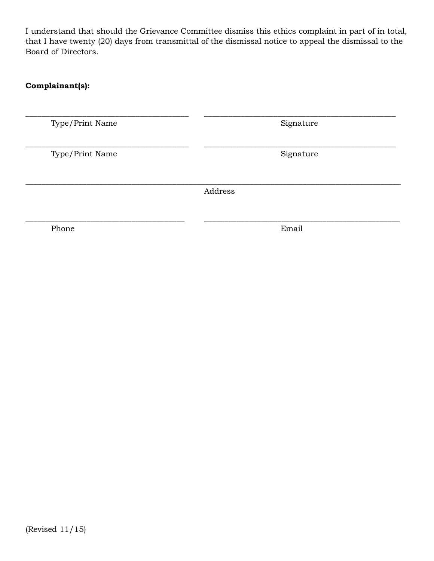I understand that should the Grievance Committee dismiss this ethics complaint in part of in total, that I have twenty (20) days from transmittal of the dismissal notice to appeal the dismissal to the Board of Directors.

# **Complainant(s):**

| Type/Print Name | Signature |
|-----------------|-----------|
| Type/Print Name | Signature |
|                 | Address   |
| Phone           | Email     |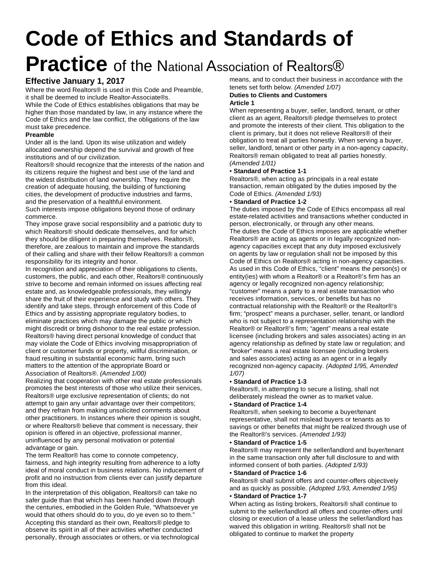# **Code of Ethics and Standards of**

# **Practice** of the National Association of Realtors®

# **Effective January 1, 2017**

Where the word Realtors® is used in this Code and Preamble, it shall be deemed to include Realtor-Associate®s.

While the Code of Ethics establishes obligations that may be higher than those mandated by law, in any instance where the Code of Ethics and the law conflict, the obligations of the law must take precedence.

#### **Preamble**

Under all is the land. Upon its wise utilization and widely allocated ownership depend the survival and growth of free institutions and of our civilization.

Realtors® should recognize that the interests of the nation and its citizens require the highest and best use of the land and the widest distribution of land ownership. They require the creation of adequate housing, the building of functioning cities, the development of productive industries and farms, and the preservation of a healthful environment.

Such interests impose obligations beyond those of ordinary commerce.

They impose grave social responsibility and a patriotic duty to which Realtors® should dedicate themselves, and for which they should be diligent in preparing themselves. Realtors®, therefore, are zealous to maintain and improve the standards of their calling and share with their fellow Realtors® a common responsibility for its integrity and honor.

In recognition and appreciation of their obligations to clients, customers, the public, and each other, Realtors® continuously strive to become and remain informed on issues affecting real estate and, as knowledgeable professionals, they willingly share the fruit of their experience and study with others. They identify and take steps, through enforcement of this Code of Ethics and by assisting appropriate regulatory bodies, to eliminate practices which may damage the public or which might discredit or bring dishonor to the real estate profession. Realtors® having direct personal knowledge of conduct that may violate the Code of Ethics involving misappropriation of client or customer funds or property, willful discrimination, or fraud resulting in substantial economic harm, bring such matters to the attention of the appropriate Board or Association of Realtors®. *(Amended 1/00)*

Realizing that cooperation with other real estate professionals promotes the best interests of those who utilize their services, Realtors® urge exclusive representation of clients; do not attempt to gain any unfair advantage over their competitors; and they refrain from making unsolicited comments about other practitioners. In instances where their opinion is sought, or where Realtors® believe that comment is necessary, their opinion is offered in an objective, professional manner, uninfluenced by any personal motivation or potential advantage or gain.

The term Realtor® has come to connote competency, fairness, and high integrity resulting from adherence to a lofty ideal of moral conduct in business relations. No inducement of profit and no instruction from clients ever can justify departure from this ideal.

In the interpretation of this obligation, Realtors® can take no safer guide than that which has been handed down through the centuries, embodied in the Golden Rule, "Whatsoever ye would that others should do to you, do ye even so to them." Accepting this standard as their own, Realtors® pledge to observe its spirit in all of their activities whether conducted personally, through associates or others, or via technological

means, and to conduct their business in accordance with the tenets set forth below. *(Amended 1/07)*

# **Duties to Clients and Customers**

#### **Article 1**

When representing a buyer, seller, landlord, tenant, or other client as an agent, Realtors® pledge themselves to protect and promote the interests of their client. This obligation to the client is primary, but it does not relieve Realtors® of their obligation to treat all parties honestly. When serving a buyer, seller, landlord, tenant or other party in a non-agency capacity, Realtors® remain obligated to treat all parties honestly. *(Amended 1/01)*

#### • **Standard of Practice 1-1**

Realtors®, when acting as principals in a real estate transaction, remain obligated by the duties imposed by the Code of Ethics. *(Amended 1/93)*

• **Standard of Practice 1-2** The duties imposed by the Code of Ethics encompass all real estate-related activities and transactions whether conducted in person, electronically, or through any other means. The duties the Code of Ethics imposes are applicable whether Realtors® are acting as agents or in legally recognized nonagency capacities except that any duty imposed exclusively on agents by law or regulation shall not be imposed by this Code of Ethics on Realtors® acting in non-agency capacities. As used in this Code of Ethics, "client" means the person(s) or entity(ies) with whom a Realtor® or a Realtor®'s firm has an agency or legally recognized non-agency relationship; "customer" means a party to a real estate transaction who receives information, services, or benefits but has no contractual relationship with the Realtor® or the Realtor®'s firm; "prospect" means a purchaser, seller, tenant, or landlord who is not subject to a representation relationship with the Realtor® or Realtor®'s firm; "agent" means a real estate licensee (including brokers and sales associates) acting in an agency relationship as defined by state law or regulation; and "broker" means a real estate licensee (including brokers and sales associates) acting as an agent or in a legally recognized non-agency capacity. *(Adopted 1/95, Amended* 

#### *1/07)* • **Standard of Practice 1-3**

Realtors®, in attempting to secure a listing, shall not deliberately mislead the owner as to market value.

#### • **Standard of Practice 1-4**

Realtors®, when seeking to become a buyer/tenant representative, shall not mislead buyers or tenants as to savings or other benefits that might be realized through use of the Realtor®'s services. *(Amended 1/93)*

#### • **Standard of Practice 1-5**

Realtors® may represent the seller/landlord and buyer/tenant in the same transaction only after full disclosure to and with informed consent of both parties. *(Adopted 1/93)*

#### • **Standard of Practice 1-6**

Realtors® shall submit offers and counter-offers objectively and as quickly as possible. *(Adopted 1/93, Amended 1/95)*

#### • **Standard of Practice 1-7**

When acting as listing brokers, Realtors® shall continue to submit to the seller/landlord all offers and counter-offers until closing or execution of a lease unless the seller/landlord has waived this obligation in writing. Realtors® shall not be obligated to continue to market the property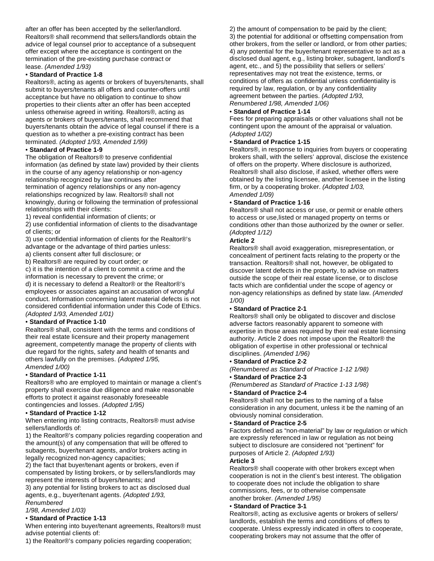after an offer has been accepted by the seller/landlord. Realtors® shall recommend that sellers/landlords obtain the advice of legal counsel prior to acceptance of a subsequent offer except where the acceptance is contingent on the termination of the pre-existing purchase contract or lease. *(Amended 1/93)*

### • **Standard of Practice 1-8**

Realtors®, acting as agents or brokers of buyers/tenants, shall submit to buyers/tenants all offers and counter-offers until acceptance but have no obligation to continue to show properties to their clients after an offer has been accepted unless otherwise agreed in writing. Realtors®, acting as agents or brokers of buyers/tenants, shall recommend that buyers/tenants obtain the advice of legal counsel if there is a question as to whether a pre-existing contract has been terminated. *(Adopted 1/93, Amended 1/99)*

#### • **Standard of Practice 1-9**

The obligation of Realtors® to preserve confidential information (as defined by state law) provided by their clients in the course of any agency relationship or non-agency relationship recognized by law continues after termination of agency relationships or any non-agency relationships recognized by law. Realtors® shall not knowingly, during or following the termination of professional relationships with their clients:

1) reveal confidential information of clients; or

2) use confidential information of clients to the disadvantage of clients; or

3) use confidential information of clients for the Realtor®'s advantage or the advantage of third parties unless: a) clients consent after full disclosure; or

b) Realtors® are required by court order; or

c) it is the intention of a client to commit a crime and the information is necessary to prevent the crime; or d) it is necessary to defend a Realtor® or the Realtor®'s

employees or associates against an accusation of wrongful conduct. Information concerning latent material defects is not considered confidential information under this Code of Ethics. *(Adopted 1/93, Amended 1/01)*

#### • **Standard of Practice 1-10**

Realtors® shall, consistent with the terms and conditions of their real estate licensure and their property management agreement, competently manage the property of clients with due regard for the rights, safety and health of tenants and others lawfully on the premises. *(Adopted 1/95, Amended 1/00)*

#### • **Standard of Practice 1-11**

Realtors® who are employed to maintain or manage a client's property shall exercise due diligence and make reasonable efforts to protect it against reasonably foreseeable contingencies and losses. *(Adopted 1/95)*

#### • **Standard of Practice 1-12**

When entering into listing contracts, Realtors® must advise sellers/landlords of:

1) the Realtor®'s company policies regarding cooperation and the amount(s) of any compensation that will be offered to subagents, buyer/tenant agents, and/or brokers acting in legally recognized non-agency capacities;

2) the fact that buyer/tenant agents or brokers, even if compensated by listing brokers, or by sellers/landlords may represent the interests of buyers/tenants; and

3) any potential for listing brokers to act as disclosed dual agents, e.g., buyer/tenant agents. *(Adopted 1/93, Renumbered*

# *1/98, Amended 1/03)*

#### • **Standard of Practice 1-13**

When entering into buyer/tenant agreements, Realtors® must advise potential clients of:

1) the Realtor®'s company policies regarding cooperation;

2) the amount of compensation to be paid by the client; 3) the potential for additional or offsetting compensation from other brokers, from the seller or landlord, or from other parties; 4) any potential for the buyer/tenant representative to act as a disclosed dual agent, e.g., listing broker, subagent, landlord's agent, etc., and 5) the possibility that sellers or sellers' representatives may not treat the existence, terms, or conditions of offers as confidential unless confidentiality is required by law, regulation, or by any confidentiality agreement between the parties. *(Adopted 1/93, Renumbered 1/98, Amended 1/06)*

#### • **Standard of Practice 1-14**

Fees for preparing appraisals or other valuations shall not be contingent upon the amount of the appraisal or valuation. *(Adopted 1/02)*

#### • **Standard of Practice 1-15**

Realtors®, in response to inquiries from buyers or cooperating brokers shall, with the sellers' approval, disclose the existence of offers on the property. Where disclosure is authorized, Realtors® shall also disclose, if asked, whether offers were obtained by the listing licensee, another licensee in the listing firm, or by a cooperating broker. *(Adopted 1/03, Amended 1/09)*

#### • **Standard of Practice 1-16**

Realtors® shall not access or use, or permit or enable others to access or use,listed or managed property on terms or conditions other than those authorized by the owner or seller. *(Adopted 1/12)*

#### **Article 2**

Realtors® shall avoid exaggeration, misrepresentation, or concealment of pertinent facts relating to the property or the transaction. Realtors® shall not, however, be obligated to discover latent defects in the property, to advise on matters outside the scope of their real estate license, or to disclose facts which are confidential under the scope of agency or non-agency relationships as defined by state law. *(Amended 1/00)*

#### • **Standard of Practice 2-1**

Realtors® shall only be obligated to discover and disclose adverse factors reasonably apparent to someone with expertise in those areas required by their real estate licensing authority. Article 2 does not impose upon the Realtor® the obligation of expertise in other professional or technical disciplines. *(Amended 1/96)*

#### • **Standard of Practice 2-2**

*(Renumbered as Standard of Practice 1-12 1/98)*

#### • **Standard of Practice 2-3**

*(Renumbered as Standard of Practice 1-13 1/98)*

#### • **Standard of Practice 2-4**

Realtors® shall not be parties to the naming of a false consideration in any document, unless it be the naming of an obviously nominal consideration.

#### • **Standard of Practice 2-5**

Factors defined as "non-material" by law or regulation or which are expressly referenced in law or regulation as not being subject to disclosure are considered not "pertinent" for purposes of Article 2. *(Adopted 1/93)*

#### **Article 3**

Realtors® shall cooperate with other brokers except when cooperation is not in the client's best interest. The obligation to cooperate does not include the obligation to share commissions, fees, or to otherwise compensate another broker. *(Amended 1/95)*

#### • **Standard of Practice 3-1**

Realtors®, acting as exclusive agents or brokers of sellers/ landlords, establish the terms and conditions of offers to cooperate. Unless expressly indicated in offers to cooperate, cooperating brokers may not assume that the offer of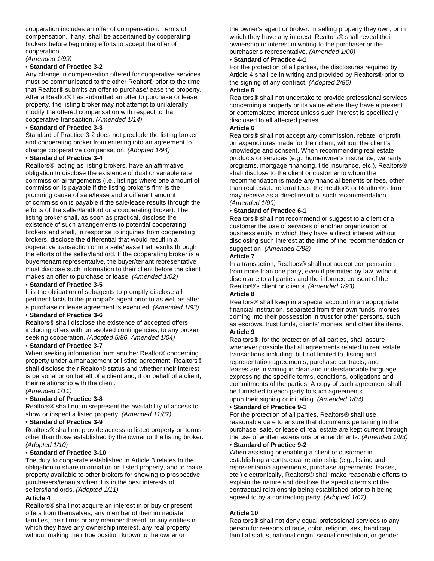cooperation includes an offer of compensation. Terms of compensation, if any, shall be ascertained by cooperating brokers before beginning efforts to accept the offer of cooperation.

*(Amended 1/99)*

#### • **Standard of Practice 3-2**

Any change in compensation offered for cooperative services must be communicated to the other Realtor® prior to the time that Realtor® submits an offer to purchase/lease the property. After a Realtor® has submitted an offer to purchase or lease property, the listing broker may not attempt to unilaterally modify the offered compensation with respect to that cooperative transaction. *(Amended 1/14)*

#### • **Standard of Practice 3-3**

Standard of Practice 3-2 does not preclude the listing broker and cooperating broker from entering into an agreement to change cooperative compensation. *(Adopted 1/94)*

#### • **Standard of Practice 3-4**

Realtors®, acting as listing brokers, have an affirmative obligation to disclose the existence of dual or variable rate commission arrangements (i.e., listings where one amount of commission is payable if the listing broker's firm is the procuring cause of sale/lease and a different amount of commission is payable if the sale/lease results through the efforts of the seller/landlord or a cooperating broker). The listing broker shall, as soon as practical, disclose the existence of such arrangements to potential cooperating brokers and shall, in response to inquiries from cooperating brokers, disclose the differential that would result in a ooperative transaction or in a sale/lease that results through the efforts of the seller/landlord. If the cooperating broker is a buyer/tenant representative, the buyer/tenant representative must disclose such information to their client before the client makes an offer to purchase or lease. *(Amended 1/02)*

#### • **Standard of Practice 3-5**

It is the obligation of subagents to promptly disclose all pertinent facts to the principal's agent prior to as well as after a purchase or lease agreement is executed. *(Amended 1/93)*

#### • **Standard of Practice 3-6**

Realtors® shall disclose the existence of accepted offers, including offers with unresolved contingencies, to any broker seeking cooperation. *(Adopted 5/86, Amended 1/04)*

#### • **Standard of Practice 3-7**

When seeking information from another Realtor® concerning property under a management or listing agreement, Realtors® shall disclose their Realtor® status and whether their interest is personal or on behalf of a client and, if on behalf of a client, their relationship with the client.

#### *(Amended 1/11)*

#### • **Standard of Practice 3-8**

Realtors® shall not misrepresent the availability of access to show or inspect a listed property. *(Amended 11/87)*

#### • **Standard of Practice 3-9**

Realtors® shall not provide access to listed property on terms other than those established by the owner or the listing broker. *(Adopted 1/10)*

#### • **Standard of Practice 3-10**

The duty to cooperate established in Article 3 relates to the obligation to share information on listed property, and to make property available to other brokers for showing to prospective purchasers/tenants when it is in the best interests of sellers/landlords. *(Adopted 1/11)*

#### **Article 4**

Realtors® shall not acquire an interest in or buy or present offers from themselves, any member of their immediate families, their firms or any member thereof, or any entities in which they have any ownership interest, any real property without making their true position known to the owner or

the owner's agent or broker. In selling property they own, or in which they have any interest, Realtors® shall reveal their ownership or interest in writing to the purchaser or the purchaser's representative. *(Amended 1/00)*

#### • **Standard of Practice 4-1**

For the protection of all parties, the disclosures required by Article 4 shall be in writing and provided by Realtors® prior to the signing of any contract. *(Adopted 2/86)*

#### **Article 5**

Realtors® shall not undertake to provide professional services concerning a property or its value where they have a present or contemplated interest unless such interest is specifically disclosed to all affected parties.

#### **Article 6**

Realtors® shall not accept any commission, rebate, or profit on expenditures made for their client, without the client's knowledge and consent. When recommending real estate products or services (e.g., homeowner's insurance, warranty programs, mortgage financing, title insurance, etc.), Realtors® shall disclose to the client or customer to whom the recommendation is made any financial benefits or fees, other than real estate referral fees, the Realtor® or Realtor®'s firm may receive as a direct result of such recommendation. *(Amended 1/99)*

#### • **Standard of Practice 6-1**

Realtors® shall not recommend or suggest to a client or a customer the use of services of another organization or business entity in which they have a direct interest without disclosing such interest at the time of the recommendation or suggestion. *(Amended 5/88)*

#### **Article 7**

In a transaction, Realtors® shall not accept compensation from more than one party, even if permitted by law, without disclosure to all parties and the informed consent of the Realtor®'s client or clients. *(Amended 1/93)*

#### **Article 8**

Realtors® shall keep in a special account in an appropriate financial institution, separated from their own funds, monies coming into their possession in trust for other persons, such as escrows, trust funds, clients' monies, and other like items. **Article 9**

Realtors®, for the protection of all parties, shall assure whenever possible that all agreements related to real estate transactions including, but not limited to, listing and representation agreements, purchase contracts, and leases are in writing in clear and understandable language expressing the specific terms, conditions, obligations and commitments of the parties. A copy of each agreement shall be furnished to each party to such agreements upon their signing or initialing. *(Amended 1/04)*

# • **Standard of Practice 9-1**

For the protection of all parties, Realtors® shall use reasonable care to ensure that documents pertaining to the purchase, sale, or lease of real estate are kept current through the use of written extensions or amendments. *(Amended 1/93)*

#### • **Standard of Practice 9-2**

When assisting or enabling a client or customer in establishing a contractual relationship (e.g., listing and representation agreements, purchase agreements, leases, etc.) electronically, Realtors® shall make reasonable efforts to explain the nature and disclose the specific terms of the contractual relationship being established prior to it being agreed to by a contracting party. *(Adopted 1/07)*

#### **Article 10**

Realtors® shall not deny equal professional services to any person for reasons of race, color, religion, sex, handicap, familial status, national origin, sexual orientation, or gender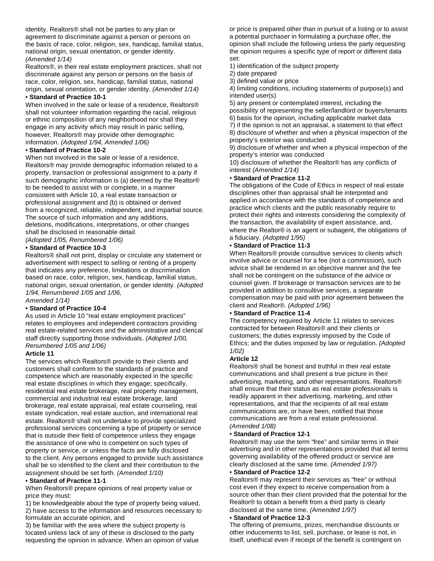identity. Realtors® shall not be parties to any plan or agreement to discriminate against a person or persons on the basis of race, color, religion, sex, handicap, familial status, national origin, sexual orientation, or gender identity. *(Amended 1/14)*

Realtors®, in their real estate employment practices, shall not discriminate against any person or persons on the basis of race, color, religion, sex, handicap, familial status, national origin, sexual orientation, or gender identity. *(Amended 1/14)*

#### • **Standard of Practice 10-1**

When involved in the sale or lease of a residence, Realtors® shall not volunteer information regarding the racial, religious or ethnic composition of any neighborhood nor shall they engage in any activity which may result in panic selling, however, Realtors® may provide other demographic information. *(Adopted 1/94, Amended 1/06)*

#### *•* **Standard of Practice 10-2**

When not involved in the sale or lease of a residence, Realtors® may provide demographic information related to a property, transaction or professional assignment to a party if such demographic information is (a) deemed by the Realtor® to be needed to assist with or complete, in a manner consistent with Article 10, a real estate transaction or professional assignment and (b) is obtained or derived from a recognized, reliable, independent, and impartial source. The source of such information and any additions, deletions, modifications, interpretations, or other changes shall be disclosed in reasonable detail. *(Adopted 1/05, Renumbered 1/06)*

# **• Standard of Practice 10-3**

Realtors® shall not print, display or circulate any statement or advertisement with respect to selling or renting of a property that indicates any preference, limitations or discrimination based on race, color, religion, sex, handicap, familial status, national origin, sexual orientation, or gender identity. *(Adopted 1/94, Renumbered 1/05 and 1/06,*

*Amended 1/14)*

#### **• Standard of Practice 10-4**

As used in Article 10 "real estate employment practices" relates to employees and independent contractors providing real estate-related services and the administrative and clerical staff directly supporting those individuals. *(Adopted 1/00, Renumbered 1/05 and 1/06)*

#### **Article 11**

The services which Realtors® provide to their clients and customers shall conform to the standards of practice and competence which are reasonably expected in the specific real estate disciplines in which they engage; specifically, residential real estate brokerage, real property management, commercial and industrial real estate brokerage, land brokerage, real estate appraisal, real estate counseling, real estate syndication, real estate auction, and international real estate. Realtors® shall not undertake to provide specialized professional services concerning a type of property or service that is outside their field of competence unless they engage the assistance of one who is competent on such types of property or service, or unless the facts are fully disclosed to the client. Any persons engaged to provide such assistance shall be so identified to the client and their contribution to the assignment should be set forth. *(Amended 1/10)*

#### • **Standard of Practice 11-1**

When Realtors® prepare opinions of real property value or price they must:

1) be knowledgeable about the type of property being valued, 2) have access to the information and resources necessary to formulate an accurate opinion, and

3) be familiar with the area where the subject property is located unless lack of any of these is disclosed to the party requesting the opinion in advance. When an opinion of value or price is prepared other than in pursuit of a listing or to assist a potential purchaser in formulating a purchase offer, the opinion shall include the following unless the party requesting the opinion requires a specific type of report or different data set:

1) identification of the subject property

2) date prepared

3) defined value or price

4) limiting conditions, including statements of purpose(s) and intended user(s)

5) any present or contemplated interest, including the possibility of representing the seller/landlord or buyers/tenants 6) basis for the opinion, including applicable market data

7) if the opinion is not an appraisal, a statement to that effect 8) disclosure of whether and when a physical inspection of the property's exterior was conducted

9) disclosure of whether and when a physical inspection of the property's interior was conducted

10) disclosure of whether the Realtor® has any conflicts of interest *(Amended 1/14)*

#### • **Standard of Practice 11-2**

The obligations of the Code of Ethics in respect of real estate disciplines other than appraisal shall be interpreted and applied in accordance with the standards of competence and practice which clients and the public reasonably require to protect their rights and interests considering the complexity of the transaction, the availability of expert assistance, and, where the Realtor® is an agent or subagent, the obligations of a fiduciary. *(Adopted 1/95)*

#### • **Standard of Practice 11-3**

When Realtors® provide consultive services to clients which involve advice or counsel for a fee (not a commission), such advice shall be rendered in an objective manner and the fee shall not be contingent on the substance of the advice or counsel given. If brokerage or transaction services are to be provided in addition to consultive services, a separate compensation may be paid with prior agreement between the client and Realtor®. *(Adopted 1/96)*

#### • **Standard of Practice 11-4**

The competency required by Article 11 relates to services contracted for between Realtors® and their clients or customers; the duties expressly imposed by the Code of Ethics; and the duties imposed by law or regulation. *(Adopted 1/02)*

#### **Article 12**

Realtors® shall be honest and truthful in their real estate communications and shall present a true picture in their advertising, marketing, and other representations. Realtors® shall ensure that their status as real estate professionals is readily apparent in their advertising, marketing, and other representations, and that the recipients of all real estate communications are, or have been, notified that those communications are from a real estate professional. *(Amended 1/08)*

#### • **Standard of Practice 12-1**

Realtors® may use the term "free" and similar terms in their advertising and in other representations provided that all terms governing availability of the offered product or service are clearly disclosed at the same time. *(Amended 1/97)*

#### • **Standard of Practice 12-2**

Realtors® may represent their services as "free" or without cost even if they expect to receive compensation from a source other than their client provided that the potential for the Realtor® to obtain a benefit from a third party is clearly disclosed at the same time. *(Amended 1/97)*

#### • **Standard of Practice 12-3**

The offering of premiums, prizes, merchandise discounts or other inducements to list, sell, purchase, or lease is not, in itself, unethical even if receipt of the benefit is contingent on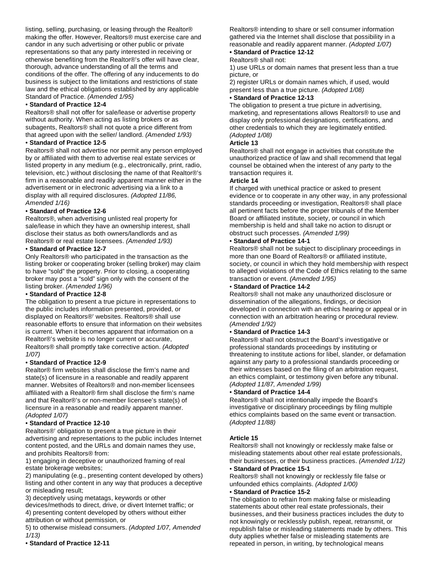listing, selling, purchasing, or leasing through the Realtor® making the offer. However, Realtors® must exercise care and candor in any such advertising or other public or private representations so that any party interested in receiving or otherwise benefiting from the Realtor®'s offer will have clear, thorough, advance understanding of all the terms and conditions of the offer. The offering of any inducements to do business is subject to the limitations and restrictions of state law and the ethical obligations established by any applicable Standard of Practice. *(Amended 1/95)*

#### • **Standard of Practice 12-4**

Realtors® shall not offer for sale/lease or advertise property without authority. When acting as listing brokers or as subagents, Realtors® shall not quote a price different from that agreed upon with the seller/ landlord. *(Amended 1/93)*

#### • **Standard of Practice 12-5**

Realtors® shall not advertise nor permit any person employed by or affiliated with them to advertise real estate services or listed property in any medium (e.g., electronically, print, radio, television, etc.) without disclosing the name of that Realtor®'s firm in a reasonable and readily apparent manner either in the advertisement or in electronic advertising via a link to a display with all required disclosures. *(Adopted 11/86, Amended 1/16)*

#### • **Standard of Practice 12-6**

Realtors®, when advertising unlisted real property for sale/lease in which they have an ownership interest, shall disclose their status as both owners/landlords and as Realtors® or real estate licensees. *(Amended 1/93)*

#### • **Standard of Practice 12-7**

Only Realtors® who participated in the transaction as the listing broker or cooperating broker (selling broker) may claim to have "sold" the property. Prior to closing, a cooperating broker may post a "sold" sign only with the consent of the listing broker. *(Amended 1/96)*

#### • **Standard of Practice 12-8**

The obligation to present a true picture in representations to the public includes information presented, provided, or displayed on Realtors®' websites. Realtors® shall use reasonable efforts to ensure that information on their websites is current. When it becomes apparent that information on a Realtor®'s website is no longer current or accurate, Realtors® shall promptly take corrective action. *(Adopted 1/07)*

#### • **Standard of Practice 12-9**

Realtor® firm websites shall disclose the firm's name and state(s) of licensure in a reasonable and readily apparent manner. Websites of Realtors® and non-member licensees affiliated with a Realtor® firm shall disclose the firm's name and that Realtor®'s or non-member licensee's state(s) of licensure in a reasonable and readily apparent manner. *(Adopted 1/07)*

#### • **Standard of Practice 12-10**

Realtors®' obligation to present a true picture in their advertising and representations to the public includes Internet content posted, and the URLs and domain names they use, and prohibits Realtors® from:

1) engaging in deceptive or unauthorized framing of real estate brokerage websites;

2) manipulating (e.g., presenting content developed by others) listing and other content in any way that produces a deceptive or misleading result;

3) deceptively using metatags, keywords or other devices/methods to direct, drive, or divert Internet traffic; or 4) presenting content developed by others without either attribution or without permission, or

5) to otherwise mislead consumers. *(Adopted 1/07, Amended 1/13)*

#### • **Standard of Practice 12-11**

Realtors® intending to share or sell consumer information gathered via the Internet shall disclose that possibility in a reasonable and readily apparent manner. *(Adopted 1/07)*

#### **• Standard of Practice 12-12**

#### Realtors® shall not:

1) use URLs or domain names that present less than a true picture, or

2) register URLs or domain names which, if used, would present less than a true picture. *(Adopted 1/08)*

#### **• Standard of Practice 12-13**

The obligation to present a true picture in advertising, marketing, and representations allows Realtors® to use and display only professional designations, certifications, and other credentials to which they are legitimately entitled. *(Adopted 1/08)*

#### **Article 13**

Realtors® shall not engage in activities that constitute the unauthorized practice of law and shall recommend that legal counsel be obtained when the interest of any party to the transaction requires it.

#### **Article 14**

If charged with unethical practice or asked to present evidence or to cooperate in any other way, in any professional standards proceeding or investigation, Realtors® shall place all pertinent facts before the proper tribunals of the Member Board or affiliated institute, society, or council in which membership is held and shall take no action to disrupt or obstruct such processes. *(Amended 1/99)*

#### • **Standard of Practice 14-1**

Realtors® shall not be subject to disciplinary proceedings in more than one Board of Realtors® or affiliated institute, society, or council in which they hold membership with respect to alleged violations of the Code of Ethics relating to the same transaction or event. *(Amended 1/95)*

#### • **Standard of Practice 14-2**

Realtors® shall not make any unauthorized disclosure or dissemination of the allegations, findings, or decision developed in connection with an ethics hearing or appeal or in connection with an arbitration hearing or procedural review. *(Amended 1/92)*

#### • **Standard of Practice 14-3**

Realtors® shall not obstruct the Board's investigative or professional standards proceedings by instituting or threatening to institute actions for libel, slander, or defamation against any party to a professional standards proceeding or their witnesses based on the filing of an arbitration request, an ethics complaint, or testimony given before any tribunal. *(Adopted 11/87, Amended 1/99)*

#### • **Standard of Practice 14-4**

Realtors® shall not intentionally impede the Board's investigative or disciplinary proceedings by filing multiple ethics complaints based on the same event or transaction. *(Adopted 11/88)*

#### **Article 15**

Realtors® shall not knowingly or recklessly make false or misleading statements about other real estate professionals, their businesses, or their business practices. *(Amended 1/12)* • **Standard of Practice 15-1**

Realtors® shall not knowingly or recklessly file false or unfounded ethics complaints. *(Adopted 1/00)*

#### • **Standard of Practice 15-2**

The obligation to refrain from making false or misleading statements about other real estate professionals, their businesses, and their business practices includes the duty to not knowingly or recklessly publish, repeat, retransmit, or republish false or misleading statements made by others. This duty applies whether false or misleading statements are repeated in person, in writing, by technological means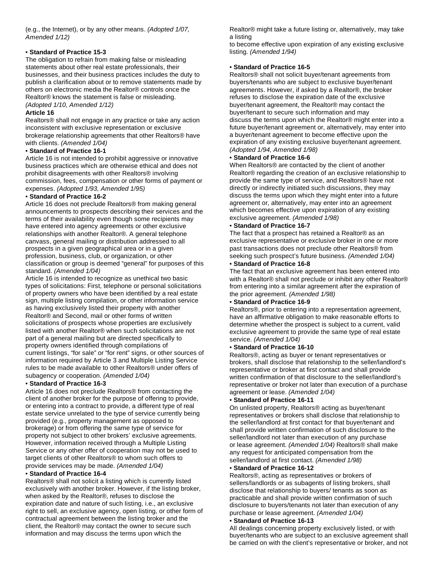(e.g., the Internet), or by any other means. *(Adopted 1/07, Amended 1/12)*

#### • **Standard of Practice 15-3**

The obligation to refrain from making false or misleading statements about other real estate professionals, their businesses, and their business practices includes the duty to publish a clarification about or to remove statements made by others on electronic media the Realtor® controls once the Realtor® knows the statement is false or misleading. *(Adopted 1/10, Amended 1/12)*

#### **Article 16**

Realtors® shall not engage in any practice or take any action inconsistent with exclusive representation or exclusive brokerage relationship agreements that other Realtors® have with clients. *(Amended 1/04)*

#### • **Standard of Practice 16-1**

Article 16 is not intended to prohibit aggressive or innovative business practices which are otherwise ethical and does not prohibit disagreements with other Realtors® involving commission, fees, compensation or other forms of payment or expenses. *(Adopted 1/93, Amended 1/95)*

#### • **Standard of Practice 16-2**

Article 16 does not preclude Realtors® from making general announcements to prospects describing their services and the terms of their availability even though some recipients may have entered into agency agreements or other exclusive relationships with another Realtor®. A general telephone canvass, general mailing or distribution addressed to all prospects in a given geographical area or in a given profession, business, club, or organization, or other classification or group is deemed "general" for purposes of this standard. *(Amended 1/04)*

Article 16 is intended to recognize as unethical two basic types of solicitations: First, telephone or personal solicitations of property owners who have been identified by a real estate sign, multiple listing compilation, or other information service as having exclusively listed their property with another Realtor® and Second, mail or other forms of written solicitations of prospects whose properties are exclusively listed with another Realtor® when such solicitations are not part of a general mailing but are directed specifically to property owners identified through compilations of current listings, "for sale" or "for rent" signs, or other sources of information required by Article 3 and Multiple Listing Service rules to be made available to other Realtors® under offers of subagency or cooperation. *(Amended 1/04)*

#### • **Standard of Practice 16-3**

Article 16 does not preclude Realtors® from contacting the client of another broker for the purpose of offering to provide, or entering into a contract to provide, a different type of real estate service unrelated to the type of service currently being provided (e.g., property management as opposed to brokerage) or from offering the same type of service for property not subject to other brokers' exclusive agreements. However, information received through a Multiple Listing Service or any other offer of cooperation may not be used to target clients of other Realtors® to whom such offers to provide services may be made. *(Amended 1/04)*

#### • **Standard of Practice 16-4**

Realtors® shall not solicit a listing which is currently listed exclusively with another broker. However, if the listing broker, when asked by the Realtor®, refuses to disclose the expiration date and nature of such listing, i.e., an exclusive right to sell, an exclusive agency, open listing, or other form of contractual agreement between the listing broker and the client, the Realtor® may contact the owner to secure such information and may discuss the terms upon which the

Realtor® might take a future listing or, alternatively, may take a listing

to become effective upon expiration of any existing exclusive listing. *(Amended 1/94)*

#### • **Standard of Practice 16-5**

Realtors® shall not solicit buyer/tenant agreements from buyers/tenants who are subject to exclusive buyer/tenant agreements. However, if asked by a Realtor®, the broker refuses to disclose the expiration date of the exclusive buyer/tenant agreement, the Realtor® may contact the buyer/tenant to secure such information and may discuss the terms upon which the Realtor® might enter into a future buyer/tenant agreement or, alternatively, may enter into a buyer/tenant agreement to become effective upon the expiration of any existing exclusive buyer/tenant agreement. *(Adopted 1/94, Amended 1/98)*

#### • **Standard of Practice 16-6**

When Realtors® are contacted by the client of another Realtor® regarding the creation of an exclusive relationship to provide the same type of service, and Realtors® have not directly or indirectly initiated such discussions, they may discuss the terms upon which they might enter into a future agreement or, alternatively, may enter into an agreement which becomes effective upon expiration of any existing exclusive agreement. *(Amended 1/98)*

#### • **Standard of Practice 16-7**

The fact that a prospect has retained a Realtor® as an exclusive representative or exclusive broker in one or more past transactions does not preclude other Realtors® from seeking such prospect's future business. *(Amended 1/04)*

#### • **Standard of Practice 16-8**

The fact that an exclusive agreement has been entered into with a Realtor® shall not preclude or inhibit any other Realtor® from entering into a similar agreement after the expiration of the prior agreement. *(Amended 1/98)*

#### • **Standard of Practice 16-9**

Realtors®, prior to entering into a representation agreement, have an affirmative obligation to make reasonable efforts to determine whether the prospect is subject to a current, valid exclusive agreement to provide the same type of real estate service. *(Amended 1/04)*

#### • **Standard of Practice 16-10**

Realtors®, acting as buyer or tenant representatives or brokers, shall disclose that relationship to the seller/landlord's representative or broker at first contact and shall provide written confirmation of that disclosure to the seller/landlord's representative or broker not later than execution of a purchase agreement or lease. *(Amended 1/04)*

#### • **Standard of Practice 16-11**

On unlisted property, Realtors® acting as buyer/tenant representatives or brokers shall disclose that relationship to the seller/landlord at first contact for that buyer/tenant and shall provide written confirmation of such disclosure to the seller/landlord not later than execution of any purchase or lease agreement. *(Amended 1/04)* Realtors® shall make any request for anticipated compensation from the seller/landlord at first contact. *(Amended 1/98)*

#### • **Standard of Practice 16-12**

Realtors®, acting as representatives or brokers of sellers/landlords or as subagents of listing brokers, shall disclose that relationship to buyers/ tenants as soon as practicable and shall provide written confirmation of such disclosure to buyers/tenants not later than execution of any purchase or lease agreement. *(Amended 1/04)*

#### • **Standard of Practice 16-13**

All dealings concerning property exclusively listed, or with buyer/tenants who are subject to an exclusive agreement shall be carried on with the client's representative or broker, and not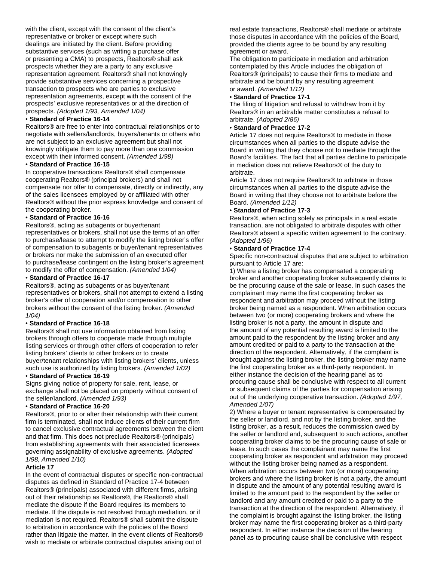with the client, except with the consent of the client's representative or broker or except where such dealings are initiated by the client. Before providing substantive services (such as writing a purchase offer or presenting a CMA) to prospects, Realtors® shall ask prospects whether they are a party to any exclusive representation agreement. Realtors® shall not knowingly provide substantive services concerning a prospective transaction to prospects who are parties to exclusive representation agreements, except with the consent of the prospects' exclusive representatives or at the direction of prospects. *(Adopted 1/93, Amended 1/04)*

#### • **Standard of Practice 16-14**

Realtors® are free to enter into contractual relationships or to negotiate with sellers/landlords, buyers/tenants or others who are not subject to an exclusive agreement but shall not knowingly obligate them to pay more than one commission except with their informed consent. *(Amended 1/98)*

#### • **Standard of Practice 16-15**

In cooperative transactions Realtors® shall compensate cooperating Realtors® (principal brokers) and shall not compensate nor offer to compensate, directly or indirectly, any of the sales licensees employed by or affiliated with other Realtors® without the prior express knowledge and consent of the cooperating broker.

#### • **Standard of Practice 16-16**

Realtors®, acting as subagents or buyer/tenant representatives or brokers, shall not use the terms of an offer to purchase/lease to attempt to modify the listing broker's offer of compensation to subagents or buyer/tenant representatives or brokers nor make the submission of an executed offer to purchase/lease contingent on the listing broker's agreement to modify the offer of compensation. *(Amended 1/04)*

#### • **Standard of Practice 16-17**

Realtors®, acting as subagents or as buyer/tenant representatives or brokers, shall not attempt to extend a listing broker's offer of cooperation and/or compensation to other brokers without the consent of the listing broker. *(Amended 1/04)*

#### • **Standard of Practice 16-18**

Realtors® shall not use information obtained from listing brokers through offers to cooperate made through multiple listing services or through other offers of cooperation to refer listing brokers' clients to other brokers or to create buyer/tenant relationships with listing brokers' clients, unless such use is authorized by listing brokers. *(Amended 1/02)*

#### • **Standard of Practice 16-19**

Signs giving notice of property for sale, rent, lease, or exchange shall not be placed on property without consent of the seller/landlord. *(Amended 1/93)*

#### • **Standard of Practice 16-20**

Realtors®, prior to or after their relationship with their current firm is terminated, shall not induce clients of their current firm to cancel exclusive contractual agreements between the client and that firm. This does not preclude Realtors® (principals) from establishing agreements with their associated licensees governing assignability of exclusive agreements. *(Adopted 1/98, Amended 1/10)*

#### **Article 17**

In the event of contractual disputes or specific non-contractual disputes as defined in Standard of Practice 17-4 between Realtors® (principals) associated with different firms, arising out of their relationship as Realtors®, the Realtors® shall mediate the dispute if the Board requires its members to mediate. If the dispute is not resolved through mediation, or if mediation is not required, Realtors® shall submit the dispute to arbitration in accordance with the policies of the Board rather than litigate the matter. In the event clients of Realtors® wish to mediate or arbitrate contractual disputes arising out of

real estate transactions, Realtors® shall mediate or arbitrate those disputes in accordance with the policies of the Board, provided the clients agree to be bound by any resulting agreement or award.

The obligation to participate in mediation and arbitration contemplated by this Article includes the obligation of Realtors® (principals) to cause their firms to mediate and arbitrate and be bound by any resulting agreement or award. *(Amended 1/12)*

#### • **Standard of Practice 17-1**

The filing of litigation and refusal to withdraw from it by Realtors® in an arbitrable matter constitutes a refusal to arbitrate. *(Adopted 2/86)*

#### • **Standard of Practice 17-2**

Article 17 does not require Realtors® to mediate in those circumstances when all parties to the dispute advise the Board in writing that they choose not to mediate through the Board's facilities. The fact that all parties decline to participate in mediation does not relieve Realtors® of the duty to arbitrate.

Article 17 does not require Realtors® to arbitrate in those circumstances when all parties to the dispute advise the Board in writing that they choose not to arbitrate before the Board. *(Amended 1/12)*

#### • **Standard of Practice 17-3**

Realtors®, when acting solely as principals in a real estate transaction, are not obligated to arbitrate disputes with other Realtors® absent a specific written agreement to the contrary. *(Adopted 1/96)*

#### • **Standard of Practice 17-4**

Specific non-contractual disputes that are subject to arbitration pursuant to Article 17 are:

1) Where a listing broker has compensated a cooperating broker and another cooperating broker subsequently claims to be the procuring cause of the sale or lease. In such cases the complainant may name the first cooperating broker as respondent and arbitration may proceed without the listing broker being named as a respondent. When arbitration occurs between two (or more) cooperating brokers and where the listing broker is not a party, the amount in dispute and the amount of any potential resulting award is limited to the amount paid to the respondent by the listing broker and any amount credited or paid to a party to the transaction at the direction of the respondent. Alternatively, if the complaint is brought against the listing broker, the listing broker may name the first cooperating broker as a third-party respondent. In either instance the decision of the hearing panel as to procuring cause shall be conclusive with respect to all current or subsequent claims of the parties for compensation arising out of the underlying cooperative transaction. *(Adopted 1/97, Amended 1/07)*

2) Where a buyer or tenant representative is compensated by the seller or landlord, and not by the listing broker, and the listing broker, as a result, reduces the commission owed by the seller or landlord and, subsequent to such actions, another cooperating broker claims to be the procuring cause of sale or lease. In such cases the complainant may name the first cooperating broker as respondent and arbitration may proceed without the listing broker being named as a respondent. When arbitration occurs between two (or more) cooperating brokers and where the listing broker is not a party, the amount in dispute and the amount of any potential resulting award is limited to the amount paid to the respondent by the seller or landlord and any amount credited or paid to a party to the transaction at the direction of the respondent. Alternatively, if the complaint is brought against the listing broker, the listing broker may name the first cooperating broker as a third-party respondent. In either instance the decision of the hearing panel as to procuring cause shall be conclusive with respect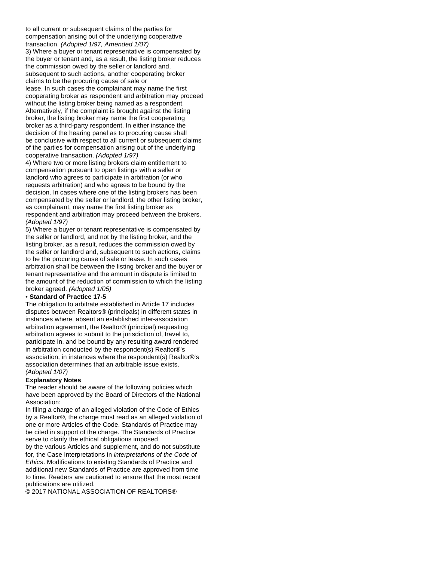to all current or subsequent claims of the parties for compensation arising out of the underlying cooperative transaction. *(Adopted 1/97, Amended 1/07)* 3) Where a buyer or tenant representative is compensated by the buyer or tenant and, as a result, the listing broker reduces the commission owed by the seller or landlord and, subsequent to such actions, another cooperating broker claims to be the procuring cause of sale or lease. In such cases the complainant may name the first cooperating broker as respondent and arbitration may proceed without the listing broker being named as a respondent. Alternatively, if the complaint is brought against the listing broker, the listing broker may name the first cooperating broker as a third-party respondent. In either instance the decision of the hearing panel as to procuring cause shall be conclusive with respect to all current or subsequent claims of the parties for compensation arising out of the underlying cooperative transaction. *(Adopted 1/97)*

4) Where two or more listing brokers claim entitlement to compensation pursuant to open listings with a seller or landlord who agrees to participate in arbitration (or who requests arbitration) and who agrees to be bound by the decision. In cases where one of the listing brokers has been compensated by the seller or landlord, the other listing broker, as complainant, may name the first listing broker as respondent and arbitration may proceed between the brokers. *(Adopted 1/97)*

5) Where a buyer or tenant representative is compensated by the seller or landlord, and not by the listing broker, and the listing broker, as a result, reduces the commission owed by the seller or landlord and, subsequent to such actions, claims to be the procuring cause of sale or lease. In such cases arbitration shall be between the listing broker and the buyer or tenant representative and the amount in dispute is limited to the amount of the reduction of commission to which the listing broker agreed. *(Adopted 1/05)*

#### • **Standard of Practice 17-5**

The obligation to arbitrate established in Article 17 includes disputes between Realtors® (principals) in different states in instances where, absent an established inter-association arbitration agreement, the Realtor® (principal) requesting arbitration agrees to submit to the jurisdiction of, travel to, participate in, and be bound by any resulting award rendered in arbitration conducted by the respondent(s) Realtor®'s association, in instances where the respondent(s) Realtor®'s association determines that an arbitrable issue exists. *(Adopted 1/07)*

#### **Explanatory Notes**

The reader should be aware of the following policies which have been approved by the Board of Directors of the National Association:

In filing a charge of an alleged violation of the Code of Ethics by a Realtor®, the charge must read as an alleged violation of one or more Articles of the Code. Standards of Practice may be cited in support of the charge. The Standards of Practice serve to clarify the ethical obligations imposed

by the various Articles and supplement, and do not substitute for, the Case Interpretations in *Interpretations of the Code of Ethics*. Modifications to existing Standards of Practice and additional new Standards of Practice are approved from time to time. Readers are cautioned to ensure that the most recent publications are utilized.

© 2017 NATIONAL ASSOCIATION OF REALTORS®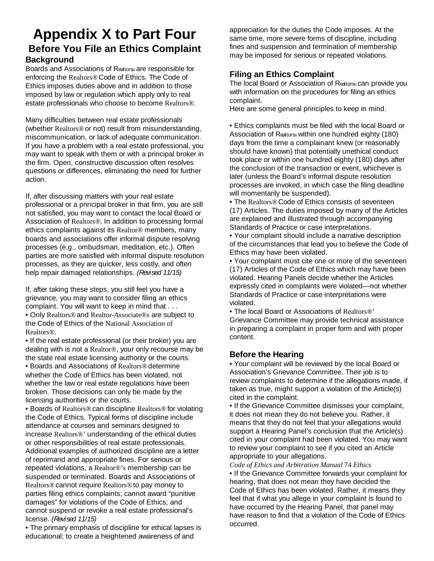# **Appendix X to Part Four Before You File an Ethics Complaint Background**

Boards and Associations of Realtors® are responsible for enforcing the Realtors®Code of Ethics. The Code of Ethics imposes duties above and in addition to those imposed by law or regulation which apply only to real estate professionals who choose to become Realtors®.

Many difficulties between real estate professionals (whether Realtors®or not) result from misunderstanding, miscommunication, or lack of adequate communication. If you have a problem with a real estate professional, you may want to speak with them or with a principal broker in the firm. Open, constructive discussion often resolves questions or differences, eliminating the need for further action.

If, after discussing matters with your real estate professional or a principal broker in that firm, you are still not satisfied, you may want to contact the local Board or Association of Realtors®. In addition to processing formal ethics complaints against its Realtor® members, many boards and associations offer informal dispute resolving processes (e.g., ombudsman, meditation, etc.). Often parties are more satisfied with informal dispute resolution processes, as they are quicker, less costly, and often help repair damaged relationships. *(Revised 11/15)*

If, after taking these steps, you still feel you have a grievance, you may want to consider filing an ethics complaint. You will want to keep in mind that . . . • Only Realtors®and Realtor-Associate®s are subject to the Code of Ethics of the National Association of Realtors®.

• If the real estate professional (or their broker) you are dealing with is not a Realtor®, your only recourse may be the state real estate licensing authority or the courts.

• Boards and Associations of Realtors®determine whether the Code of Ethics has been violated, not whether the law or real estate regulations have been broken. Those decisions can only be made by the licensing authorities or the courts.

• Boards of Realtors®can discipline Realtors®for violating the Code of Ethics. Typical forms of discipline include attendance at courses and seminars designed to increase Realtors®' understanding of the ethical duties or other responsibilities of real estate professionals. Additional examples of authorized discipline are a letter of reprimand and appropriate fines. For serious or repeated violations, a Realtor®'s membership can be suspended or terminated. Boards and Associations of Realtors®cannot require Realtors®to pay money to parties filing ethics complaints; cannot award "punitive damages" for violations of the Code of Ethics; and cannot suspend or revoke a real estate professional's license. *(Revised 11/15)*

• The primary emphasis of discipline for ethical lapses is educational; to create a heightened awareness of and

appreciation for the duties the Code imposes. At the same time, more severe forms of discipline, including fines and suspension and termination of membership may be imposed for serious or repeated violations.

# **Filing an Ethics Complaint**

The local Board or Association of Reators® can provide you with information on the procedures for filing an ethics complaint.

Here are some general principles to keep in mind.

• Ethics complaints must be filed with the local Board or Association of Reators® within one hundred eighty (180) days from the time a complainant knew (or reasonably should have known) that potentially unethical conduct took place or within one hundred eighty (180) days after the conclusion of the transaction or event, whichever is later (unless the Board's informal dispute resolution processes are invoked, in which case the filing deadline will momentarily be suspended).

• The Realtors®Code of Ethics consists of seventeen (17) Articles. The duties imposed by many of the Articles are explained and illustrated through accompanying Standards of Practice or case interpretations.

• Your complaint should include a narrative description of the circumstances that lead you to believe the Code of Ethics may have been violated.

• Your complaint must cite one or more of the seventeen (17) Articles of the Code of Ethics which may have been violated. Hearing Panels decide whether the Articles expressly cited in complaints were violated—not whether Standards of Practice or case interpretations were violated.

• The local Board or Associations of Realtors®' Grievance Committee may provide technical assistance in preparing a complaint in proper form and with proper content.

# **Before the Hearing**

• Your complaint will be reviewed by the local Board or Association's Grievance Committee. Their job is to review complaints to determine if the allegations made, if taken as true, might support a violation of the Article(s) cited in the complaint.

• If the Grievance Committee dismisses your complaint, it does not mean they do not believe you. Rather, it means that they do not feel that your allegations would support a Hearing Panel's conclusion that the Article(s) cited in your complaint had been violated. You may want to review your complaint to see if you cited an Article appropriate to your allegations.

*Code of Ethics and Arbitration Manual* 74 *Ethics*

• If the Grievance Committee forwards your complaint for hearing, that does not mean they have decided the Code of Ethics has been violated. Rather, it means they feel that if what you allege in your complaint is found to have occurred by the Hearing Panel, that panel may have reason to find that a violation of the Code of Ethics occurred.